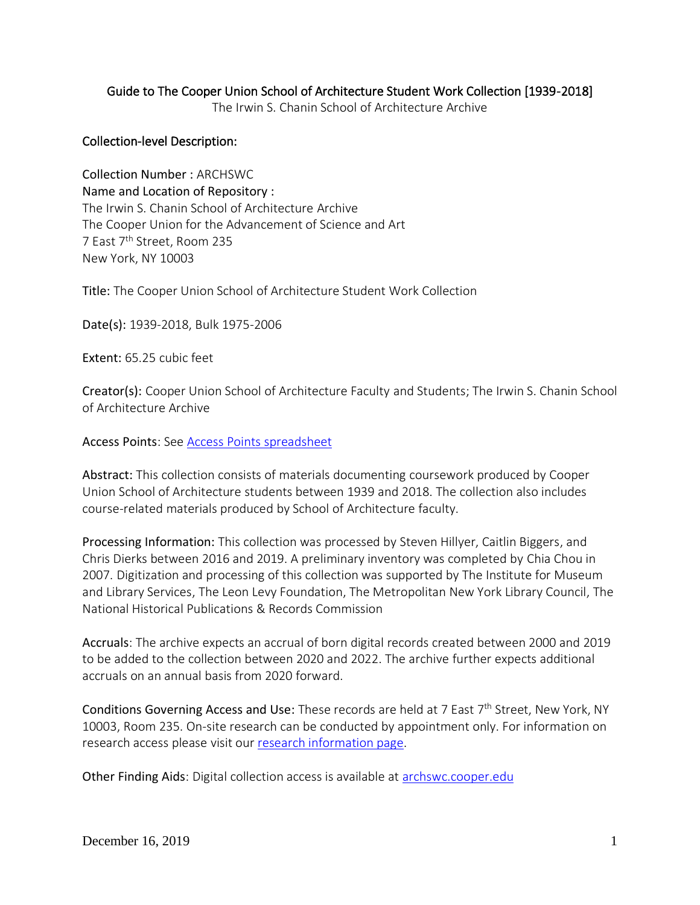## Guide to The Cooper Union School of Architecture Student Work Collection [1939-2018]

The Irwin S. Chanin School of Architecture Archive

## Collection-level Description:

Collection Number : ARCHSWC Name and Location of Repository : The Irwin S. Chanin School of Architecture Archive The Cooper Union for the Advancement of Science and Art 7 East 7th Street, Room 235 New York, NY 10003

Title: The Cooper Union School of Architecture Student Work Collection

Date(s): 1939-2018, Bulk 1975-2006

Extent: 65.25 cubic feet

Creator(s): Cooper Union School of Architecture Faculty and Students; The Irwin S. Chanin School of Architecture Archive

Access Points: See [Access Points spreadsheet](https://drive.google.com/file/d/19hx7n8WwWt-AGUipXLgiMrZTZ2ng1H95/view?usp=sharing)

Abstract: This collection consists of materials documenting coursework produced by Cooper Union School of Architecture students between 1939 and 2018. The collection also includes course-related materials produced by School of Architecture faculty.

Processing Information: This collection was processed by Steven Hillyer, Caitlin Biggers, and Chris Dierks between 2016 and 2019. A preliminary inventory was completed by Chia Chou in 2007. Digitization and processing of this collection was supported by The Institute for Museum and Library Services, The Leon Levy Foundation, The Metropolitan New York Library Council, The National Historical Publications & Records Commission

Accruals: The archive expects an accrual of born digital records created between 2000 and 2019 to be added to the collection between 2020 and 2022. The archive further expects additional accruals on an annual basis from 2020 forward.

Conditions Governing Access and Use: These records are held at 7 East 7<sup>th</sup> Street, New York, NY 10003, Room 235. On-site research can be conducted by appointment only. For information on research access please visit our [research information page.](https://cooper.edu/architecture/archive/research-access)

Other Finding Aids: Digital collection access is available at [archswc.cooper.edu](http://archswc.cooper.edu/)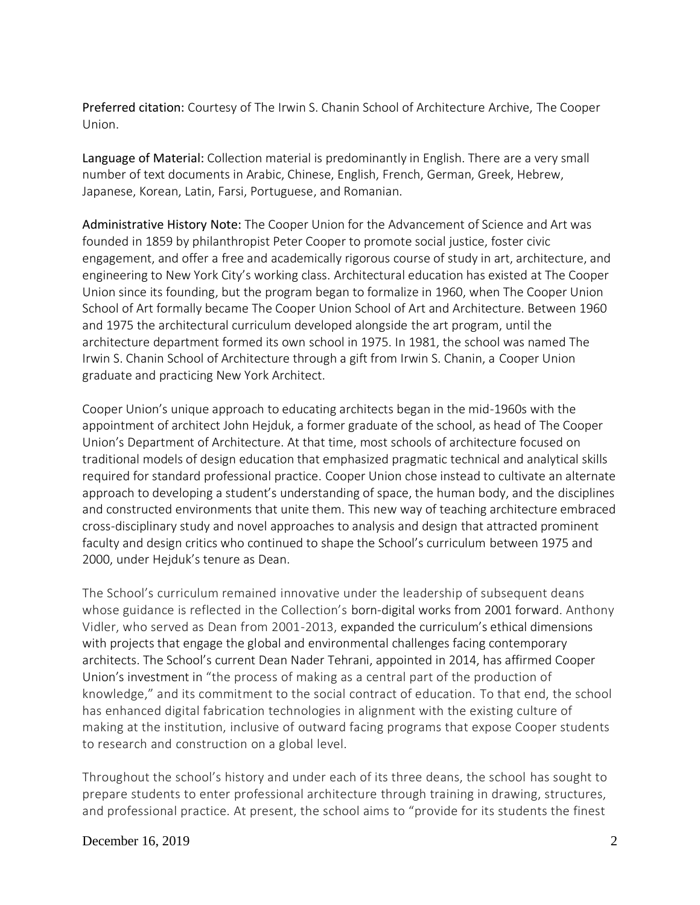Preferred citation: Courtesy of The Irwin S. Chanin School of Architecture Archive, The Cooper Union.

Language of Material: Collection material is predominantly in English. There are a very small number of text documents in Arabic, Chinese, English, French, German, Greek, Hebrew, Japanese, Korean, Latin, Farsi, Portuguese, and Romanian.

Administrative History Note: The Cooper Union for the Advancement of Science and Art was founded in 1859 by philanthropist Peter Cooper to promote social justice, foster civic engagement, and offer a free and academically rigorous course of study in art, architecture, and engineering to New York City's working class. Architectural education has existed at The Cooper Union since its founding, but the program began to formalize in 1960, when The Cooper Union School of Art formally became The Cooper Union School of Art and Architecture. Between 1960 and 1975 the architectural curriculum developed alongside the art program, until the architecture department formed its own school in 1975. In 1981, the school was named The Irwin S. Chanin School of Architecture through a gift from Irwin S. Chanin, a Cooper Union graduate and practicing New York Architect.

Cooper Union's unique approach to educating architects began in the mid-1960s with the appointment of architect John Hejduk, a former graduate of the school, as head of The Cooper Union's Department of Architecture. At that time, most schools of architecture focused on traditional models of design education that emphasized pragmatic technical and analytical skills required for standard professional practice. Cooper Union chose instead to cultivate an alternate approach to developing a student's understanding of space, the human body, and the disciplines and constructed environments that unite them. This new way of teaching architecture embraced cross-disciplinary study and novel approaches to analysis and design that attracted prominent faculty and design critics who continued to shape the School's curriculum between 1975 and 2000, under Hejduk's tenure as Dean.

The School's curriculum remained innovative under the leadership of subsequent deans whose guidance is reflected in the Collection's born-digital works from 2001 forward. Anthony Vidler, who served as Dean from 2001-2013, expanded the curriculum's ethical dimensions with projects that engage the global and environmental challenges facing contemporary architects. The School's current Dean Nader Tehrani, appointed in 2014, has affirmed Cooper Union's investment in "the process of making as a central part of the production of knowledge," and its commitment to the social contract of education. To that end, the school has enhanced digital fabrication technologies in alignment with the existing culture of making at the institution, inclusive of outward facing programs that expose Cooper students to research and construction on a global level.

Throughout the school's history and under each of its three deans, the school has sought to prepare students to enter professional architecture through training in drawing, structures, and professional practice. At present, the school aims to "provide for its students the finest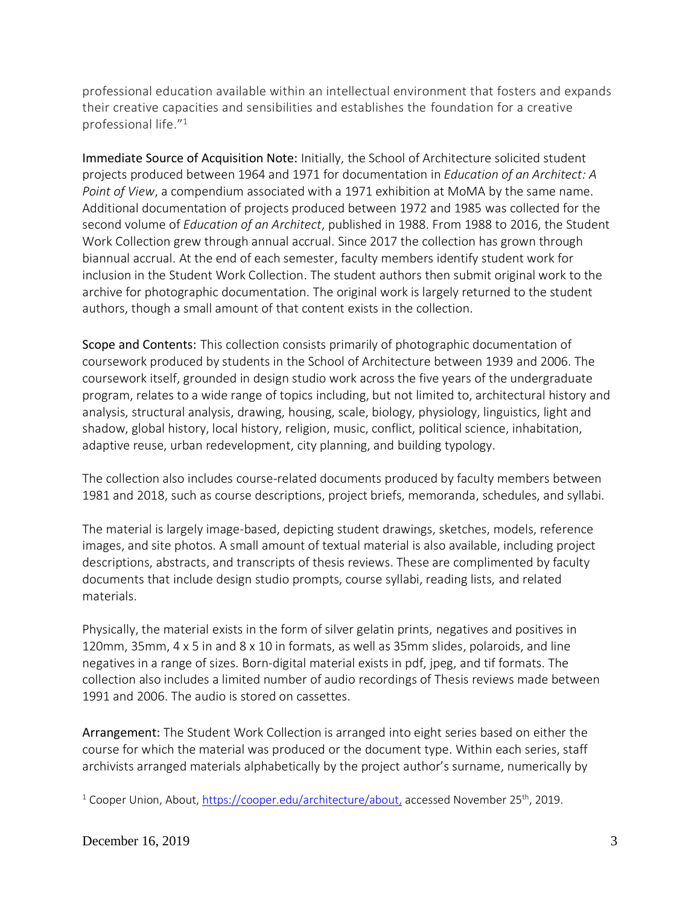professional education available within an intellectual environment that fosters and expands their creative capacities and sensibilities and establishes the foundation for a creative professional life."<sup>1</sup>

Immediate Source of Acquisition Note: Initially, the School of Architecture solicited student projects produced between 1964 and 1971 for documentation in *Education of an Architect: A Point of View*, a compendium associated with a 1971 exhibition at MoMA by the same name. Additional documentation of projects produced between 1972 and 1985 was collected for the second volume of *Education of an Architect*, published in 1988. From 1988 to 2016, the Student Work Collection grew through annual accrual. Since 2017 the collection has grown through biannual accrual. At the end of each semester, faculty members identify student work for inclusion in the Student Work Collection. The student authors then submit original work to the archive for photographic documentation. The original work is largely returned to the student authors, though a small amount of that content exists in the collection.

Scope and Contents: This collection consists primarily of photographic documentation of coursework produced by students in the School of Architecture between 1939 and 2006. The coursework itself, grounded in design studio work across the five years of the undergraduate program, relates to a wide range of topics including, but not limited to, architectural history and analysis, structural analysis, drawing, housing, scale, biology, physiology, linguistics, light and shadow, global history, local history, religion, music, conflict, political science, inhabitation, adaptive reuse, urban redevelopment, city planning, and building typology.

The collection also includes course-related documents produced by faculty members between 1981 and 2018, such as course descriptions, project briefs, memoranda, schedules, and syllabi.

The material is largely image-based, depicting student drawings, sketches, models, reference images, and site photos. A small amount of textual material is also available, including project descriptions, abstracts, and transcripts of thesis reviews. These are complimented by faculty documents that include design studio prompts, course syllabi, reading lists, and related materials.

Physically, the material exists in the form of silver gelatin prints, negatives and positives in 120mm, 35mm, 4 x 5 in and 8 x 10 in formats, as well as 35mm slides, polaroids, and line negatives in a range of sizes. Born-digital material exists in pdf, jpeg, and tif formats. The collection also includes a limited number of audio recordings of Thesis reviews made between 1991 and 2006. The audio is stored on cassettes.

Arrangement: The Student Work Collection is arranged into eight series based on either the course for which the material was produced or the document type. Within each series, staff archivists arranged materials alphabetically by the project author's surname, numerically by

<sup>1</sup> Cooper Union, About[, https://cooper.edu/architecture/about,](https://cooper.edu/architecture/about) accessed November 25<sup>th</sup>, 2019.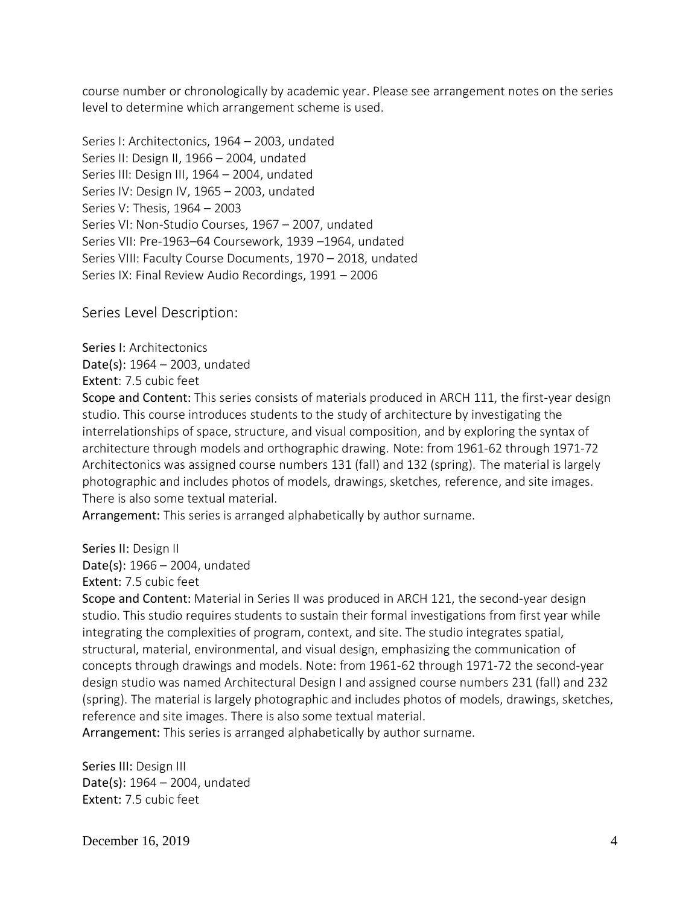course number or chronologically by academic year. Please see arrangement notes on the series level to determine which arrangement scheme is used.

Series I: Architectonics, 1964 – 2003, undated Series II: Design II, 1966 – 2004, undated Series III: Design III, 1964 – 2004, undated Series IV: Design IV, 1965 – 2003, undated Series V: Thesis, 1964 – 2003 Series VI: Non-Studio Courses, 1967 – 2007, undated Series VII: Pre-1963–64 Coursework, 1939 –1964, undated Series VIII: Faculty Course Documents, 1970 – 2018, undated Series IX: Final Review Audio Recordings, 1991 – 2006

Series Level Description:

Series I: Architectonics Date(s): 1964 – 2003, undated Extent: 7.5 cubic feet

Scope and Content: This series consists of materials produced in ARCH 111, the first-year design studio. This course introduces students to the study of architecture by investigating the interrelationships of space, structure, and visual composition, and by exploring the syntax of architecture through models and orthographic drawing. Note: from 1961-62 through 1971-72 Architectonics was assigned course numbers 131 (fall) and 132 (spring). The material is largely photographic and includes photos of models, drawings, sketches, reference, and site images. There is also some textual material.

Arrangement: This series is arranged alphabetically by author surname.

Series II: Design II Date(s): 1966 – 2004, undated Extent: 7.5 cubic feet

Scope and Content: Material in Series II was produced in ARCH 121, the second-year design studio. This studio requires students to sustain their formal investigations from first year while integrating the complexities of program, context, and site. The studio integrates spatial, structural, material, environmental, and visual design, emphasizing the communication of concepts through drawings and models. Note: from 1961-62 through 1971-72 the second-year design studio was named Architectural Design I and assigned course numbers 231 (fall) and 232 (spring). The material is largely photographic and includes photos of models, drawings, sketches, reference and site images. There is also some textual material.

Arrangement: This series is arranged alphabetically by author surname.

Series III: Design III Date(s): 1964 – 2004, undated Extent: 7.5 cubic feet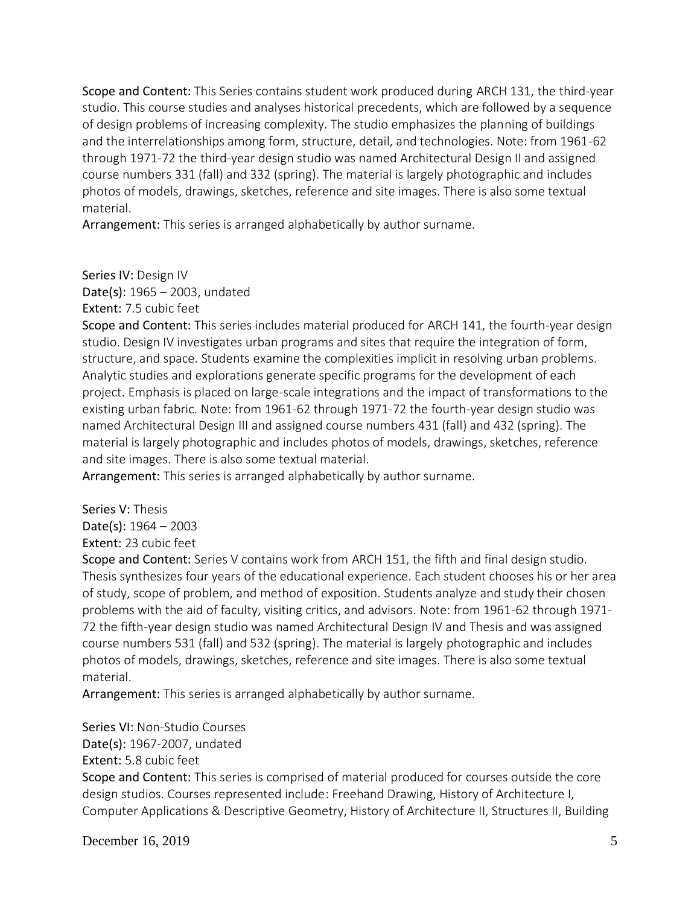Scope and Content: This Series contains student work produced during ARCH 131, the third-year studio. This course studies and analyses historical precedents, which are followed by a sequence of design problems of increasing complexity. The studio emphasizes the planning of buildings and the interrelationships among form, structure, detail, and technologies. Note: from 1961-62 through 1971-72 the third-year design studio was named Architectural Design II and assigned course numbers 331 (fall) and 332 (spring). The material is largely photographic and includes photos of models, drawings, sketches, reference and site images. There is also some textual material.

Arrangement: This series is arranged alphabetically by author surname.

Series IV: Design IV

Date(s): 1965 – 2003, undated

Extent: 7.5 cubic feet

Scope and Content: This series includes material produced for ARCH 141, the fourth-year design studio. Design IV investigates urban programs and sites that require the integration of form, structure, and space. Students examine the complexities implicit in resolving urban problems. Analytic studies and explorations generate specific programs for the development of each project. Emphasis is placed on large-scale integrations and the impact of transformations to the existing urban fabric. Note: from 1961-62 through 1971-72 the fourth-year design studio was named Architectural Design III and assigned course numbers 431 (fall) and 432 (spring). The material is largely photographic and includes photos of models, drawings, sketches, reference and site images. There is also some textual material.

Arrangement: This series is arranged alphabetically by author surname.

Series V: Thesis

Date(s): 1964 – 2003

Extent: 23 cubic feet

Scope and Content: Series V contains work from ARCH 151, the fifth and final design studio. Thesis synthesizes four years of the educational experience. Each student chooses his or her area of study, scope of problem, and method of exposition. Students analyze and study their chosen problems with the aid of faculty, visiting critics, and advisors. Note: from 1961-62 through 1971- 72 the fifth-year design studio was named Architectural Design IV and Thesis and was assigned course numbers 531 (fall) and 532 (spring). The material is largely photographic and includes photos of models, drawings, sketches, reference and site images. There is also some textual material.

Arrangement: This series is arranged alphabetically by author surname.

Series VI: Non-Studio Courses Date(s): 1967-2007, undated Extent: 5.8 cubic feet Scope and Content: This series is comprised of material produced for courses outside the core design studios. Courses represented include: Freehand Drawing, History of Architecture I, Computer Applications & Descriptive Geometry, History of Architecture II, Structures II, Building

December 16, 2019  $\overline{5}$